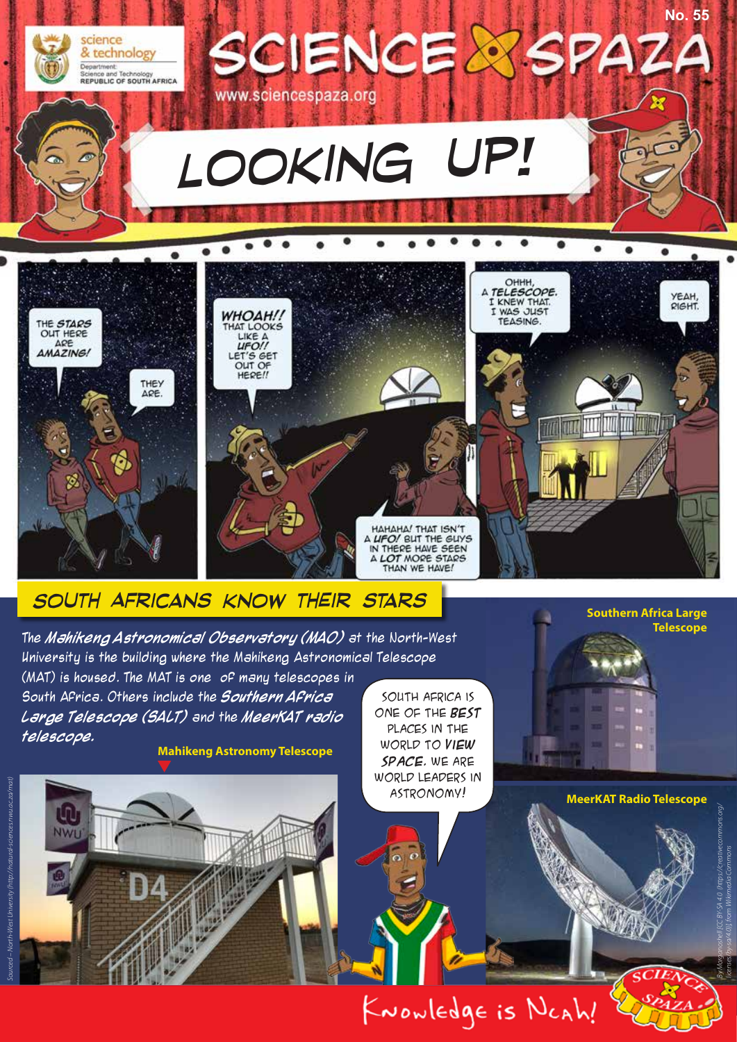

KNOWLEDgE is NCAh!

**MeerKAT Radio Telescope**

*By Morganoshell [CC BY-SA 4.0 (https://creativecommons.org/ licenses/by-sa/4.0)], from Wikimedia Commons*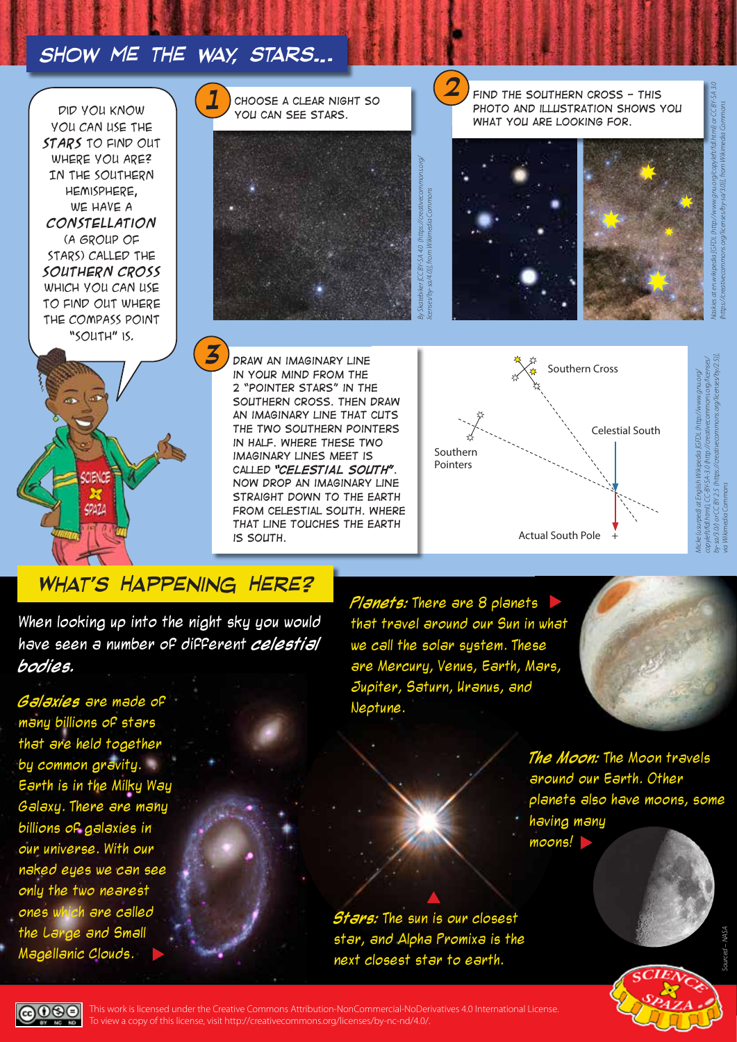## *Show me the way, stars…*

Did you know you can use the **stars** to find out where you are? In the Southern Hemisphere, we have a **constellation** (a group of stars) called the **Southern Cross** which you can use to find out where the compass point "South" is.

**MENOS** 

49424



*Draw an imaginary line in your mind from the 2 "pointer stars" in the southern cross. Then draw an imaginary line that cuts the two southern pointers in half. Where these two imaginary lines meet is called "celestial south". Now drop an imaginary line straight down to the Earth from celestial south. Where that line touches the Earth is South.*

# **1** CHOOSE A CLEAR NIGHT SO **1 1 1 1 1 FIND THE SOUTHERN CROSS - THIS** PHOTO AND ILLUSTRATION SHOWS YOU *what you are looking for.*





# *What's Happening Here?*

When looking up into the night sky you would have seen a number of different **celestial bodies.**

**Galaxies** are made of many billions of stars that are held together by common gravity. Earth is in the Milky Way Galaxy. There are many billions of galaxies in our universe. With our naked eyes we can see only the two nearest ones which are called the Large and Small Magellanic Clouds.

**Planets:** There are 8 planets that travel around our Sun in what we call the solar system. These are Mercury, Venus, Earth, Mars, Jupiter, Saturn, Uranus, and Neptune.



**The Moon:** The Moon travels around our Earth. Other planets also have moons, some having many moons!

**Stars:** The sun is our closest star, and Alpha Promixa is the next closest star to earth.



*Micke (usurped) at English Wikipedia [GFDL (http://www.gnu.org/ copyleft/fdl.html), CC-BY-SA-3.0 (http://creativecommons.org/licenses/ by-sa/3.0/) or CC BY 2.5 (https://creativecommons.org/licenses/by/2.5)],* 

*via Wikimedia Commons*

ெ

This work is licensed under the Creative Commons Attribution-NonCommercial-NoDerivatives 4.0 International License. To view a copy of this license, visit http://creativecommons.org/licenses/by-nc-nd/4.0/.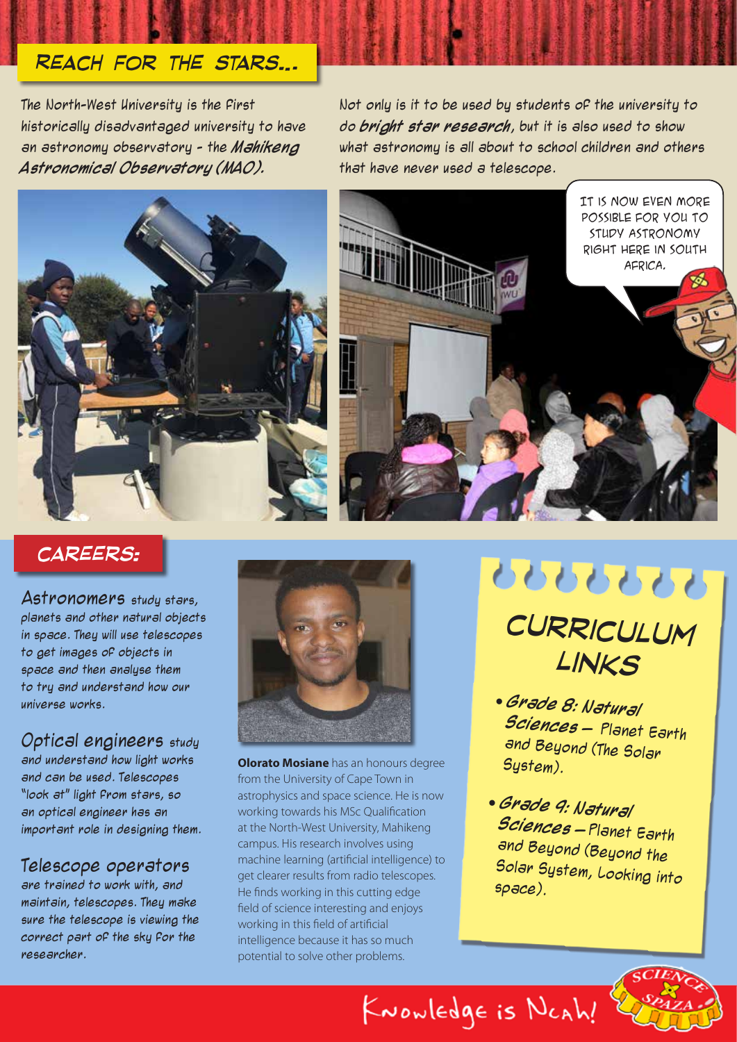# *Reach for the stars…*

The North-West University is the first historically disadvantaged university to have an astronomy observatory - the **Mahikeng Astronomical Observatory (MAO).** 

Not only is it to be used by students of the university to do **bright star research**, but it is also used to show what astronomy is all about to school children and others that have never used a telescope.





## *careers:*

Astronomers study stars, planets and other natural objects in space. They will use telescopes to get images of objects in space and then analyse them to try and understand how our universe works.

Optical engineers study and understand how light works and can be used. Telescopes "look at" light from stars, so an optical engineer has an important role in designing them.

### Telescope operators

are trained to work with, and maintain, telescopes. They make sure the telescope is viewing the correct part of the sky for the researcher.



**Olorato Mosiane** has an honours degree from the University of Cape Town in astrophysics and space science. He is now working towards his MSc Qualification at the North-West University, Mahikeng campus. His research involves using machine learning (artificial intelligence) to get clearer results from radio telescopes. He finds working in this cutting edge field of science interesting and enjoys working in this field of artificial intelligence because it has so much potential to solve other problems.



- **Grade 8: Natural Sciences** – Planet Earth and Beyond (The Solar System).
- **Grade 9: Natural Sciences** – Planet Earth and Beyond (Beyond the Solar System, Looking into space).

KNOWledge is NCAh!